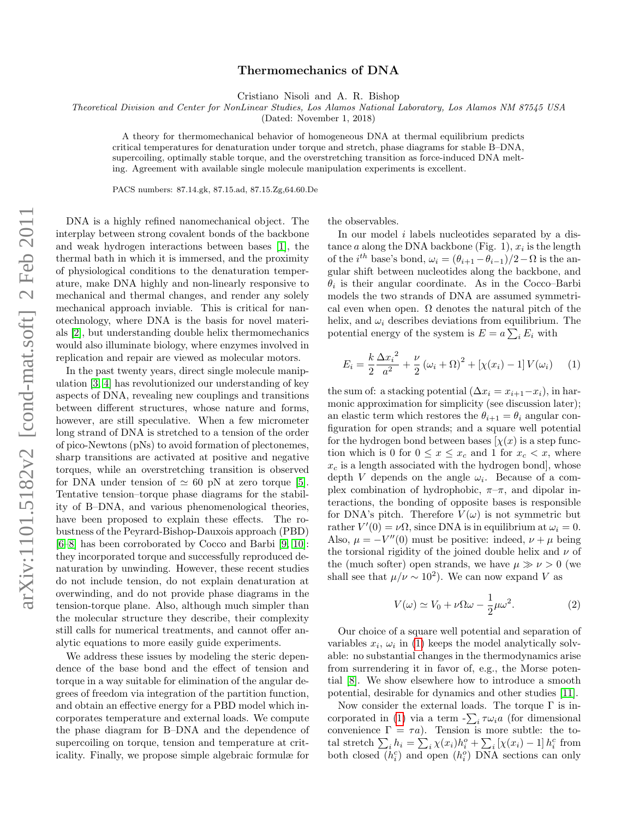## Thermomechanics of DNA

Cristiano Nisoli and A. R. Bishop

Theoretical Division and Center for NonLinear Studies, Los Alamos National Laboratory, Los Alamos NM 87545 USA

(Dated: November 1, 2018)

A theory for thermomechanical behavior of homogeneous DNA at thermal equilibrium predicts critical temperatures for denaturation under torque and stretch, phase diagrams for stable B–DNA, supercoiling, optimally stable torque, and the overstretching transition as force-induced DNA melting. Agreement with available single molecule manipulation experiments is excellent.

PACS numbers: 87.14.gk, 87.15.ad, 87.15.Zg,64.60.De

DNA is a highly refined nanomechanical object. The interplay between strong covalent bonds of the backbone and weak hydrogen interactions between bases [\[1\]](#page-3-0), the thermal bath in which it is immersed, and the proximity of physiological conditions to the denaturation temperature, make DNA highly and non-linearly responsive to mechanical and thermal changes, and render any solely mechanical approach inviable. This is critical for nanotechnology, where DNA is the basis for novel materials [\[2\]](#page-3-1), but understanding double helix thermomechanics would also illuminate biology, where enzymes involved in replication and repair are viewed as molecular motors.

In the past twenty years, direct single molecule manipulation [\[3,](#page-3-2) [4\]](#page-3-3) has revolutionized our understanding of key aspects of DNA, revealing new couplings and transitions between different structures, whose nature and forms, however, are still speculative. When a few micrometer long strand of DNA is stretched to a tension of the order of pico-Newtons (pNs) to avoid formation of plectonemes, sharp transitions are activated at positive and negative torques, while an overstretching transition is observed for DNA under tension of  $\simeq 60$  pN at zero torque [\[5\]](#page-3-4). Tentative tension–torque phase diagrams for the stability of B–DNA, and various phenomenological theories, have been proposed to explain these effects. The robustness of the Peyrard-Bishop-Dauxois approach (PBD) [\[6–](#page-3-5)[8\]](#page-3-6) has been corroborated by Cocco and Barbi [\[9,](#page-3-7) [10\]](#page-3-8): they incorporated torque and successfully reproduced denaturation by unwinding. However, these recent studies do not include tension, do not explain denaturation at overwinding, and do not provide phase diagrams in the tension-torque plane. Also, although much simpler than the molecular structure they describe, their complexity still calls for numerical treatments, and cannot offer analytic equations to more easily guide experiments.

We address these issues by modeling the steric dependence of the base bond and the effect of tension and torque in a way suitable for elimination of the angular degrees of freedom via integration of the partition function, and obtain an effective energy for a PBD model which incorporates temperature and external loads. We compute the phase diagram for B–DNA and the dependence of supercoiling on torque, tension and temperature at criticality. Finally, we propose simple algebraic formulæ for

the observables.

In our model i labels nucleotides separated by a distance  $a$  along the DNA backbone (Fig. 1),  $x_i$  is the length of the  $i^{th}$  base's bond,  $\omega_i = (\theta_{i+1} - \theta_{i-1})/2 - \Omega$  is the angular shift between nucleotides along the backbone, and  $\theta_i$  is their angular coordinate. As in the Cocco–Barbi models the two strands of DNA are assumed symmetrical even when open.  $\Omega$  denotes the natural pitch of the helix, and  $\omega_i$  describes deviations from equilibrium. The potential energy of the system is  $E = a \sum_i E_i$  with

<span id="page-0-0"></span>
$$
E_i = \frac{k \Delta x_i^2}{2 a^2} + \frac{\nu}{2} (\omega_i + \Omega)^2 + [\chi(x_i) - 1] V(\omega_i)
$$
 (1)

the sum of: a stacking potential  $(\Delta x_i = x_{i+1} - x_i)$ , in harmonic approximation for simplicity (see discussion later); an elastic term which restores the  $\theta_{i+1} = \theta_i$  angular configuration for open strands; and a square well potential for the hydrogen bond between bases  $[\chi(x)]$  is a step function which is 0 for  $0 \le x \le x_c$  and 1 for  $x_c < x$ , where  $x_c$  is a length associated with the hydrogen bond], whose depth V depends on the angle  $\omega_i$ . Because of a complex combination of hydrophobic,  $\pi-\pi$ , and dipolar interactions, the bonding of opposite bases is responsible for DNA's pitch. Therefore  $V(\omega)$  is not symmetric but rather  $V'(0) = \nu \Omega$ , since DNA is in equilibrium at  $\omega_i = 0$ . Also,  $\mu = -V''(0)$  must be positive: indeed,  $\nu + \mu$  being the torsional rigidity of the joined double helix and  $\nu$  of the (much softer) open strands, we have  $\mu \gg \nu > 0$  (we shall see that  $\mu/\nu \sim 10^2$ ). We can now expand V as

$$
V(\omega) \simeq V_0 + \nu \Omega \omega - \frac{1}{2} \mu \omega^2.
$$
 (2)

Our choice of a square well potential and separation of variables  $x_i$ ,  $\omega_i$  in [\(1\)](#page-0-0) keeps the model analytically solvable: no substantial changes in the thermodynamics arise from surrendering it in favor of, e.g., the Morse potential [\[8\]](#page-3-6). We show elsewhere how to introduce a smooth potential, desirable for dynamics and other studies [\[11\]](#page-3-9).

Now consider the external loads. The torque  $\Gamma$  is in-corporated in [\(1\)](#page-0-0) via a term  $-\sum_i \tau \omega_i a$  (for dimensional convenience  $\Gamma = \tau a$ ). Tension is more subtle: the total stretch  $\sum_i h_i = \sum_i \chi(x_i)h_i^o + \sum_i [\chi(x_i) - 1] h_i^c$  from both closed  $(h_i^c)$  and open  $(h_i^o)$  DNA sections can only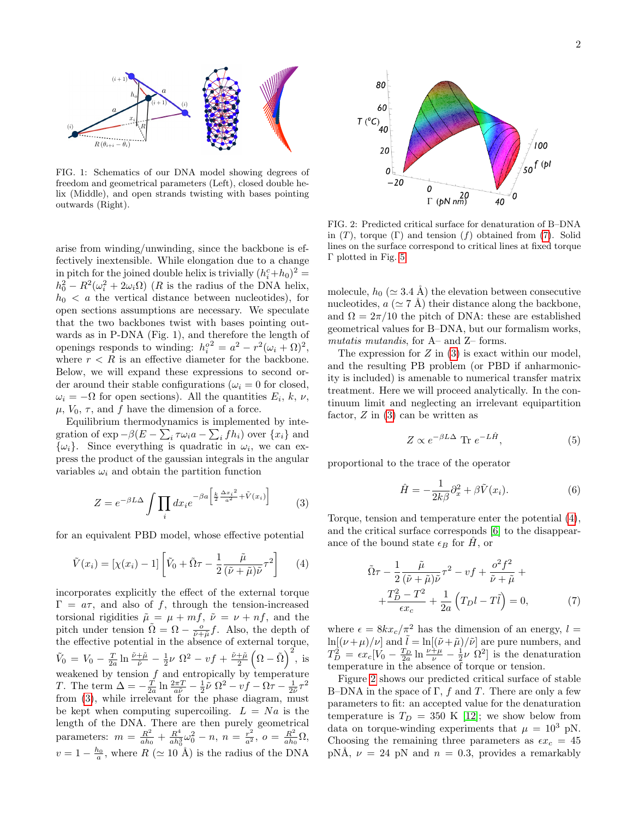

FIG. 1: Schematics of our DNA model showing degrees of freedom and geometrical parameters (Left), closed double helix (Middle), and open strands twisting with bases pointing outwards (Right).

arise from winding/unwinding, since the backbone is effectively inextensible. While elongation due to a change in pitch for the joined double helix is trivially  $(h_i^c + h_0)^2 =$  $h_0^2 - R^2(\omega_i^2 + 2\omega_i\Omega)$  (*R* is the radius of the DNA helix,  $h_0 < a$  the vertical distance between nucleotides), for open sections assumptions are necessary. We speculate that the two backbones twist with bases pointing outwards as in P-DNA (Fig. 1), and therefore the length of openings responds to winding:  $h_i^o = a^2 - r^2(\omega_i + \Omega)^2$ , where  $r < R$  is an effective diameter for the backbone. Below, we will expand these expressions to second order around their stable configurations ( $\omega_i = 0$  for closed,  $\omega_i = -\Omega$  for open sections). All the quantities  $E_i, k, \nu$ ,  $\mu$ ,  $V_0$ ,  $\tau$ , and f have the dimension of a force.

Equilibrium thermodynamics is implemented by integration of  $\exp-\beta(E-\sum_i \tau \omega_i a - \sum_i f h_i)$  over  $\{x_i\}$  and  $\{\omega_i\}$ . Since everything is quadratic in  $\omega_i$ , we can express the product of the gaussian integrals in the angular variables  $\omega_i$  and obtain the partition function

<span id="page-1-0"></span>
$$
Z = e^{-\beta L \Delta} \int \prod_i dx_i e^{-\beta a \left[ \frac{k}{2} \frac{\Delta x_i^2}{a^2} + \tilde{V}(x_i) \right]}
$$
 (3)

for an equivalent PBD model, whose effective potential

<span id="page-1-2"></span>
$$
\tilde{V}(x_i) = [\chi(x_i) - 1] \left[ \tilde{V}_0 + \tilde{\Omega}\tau - \frac{1}{2} \frac{\tilde{\mu}}{(\tilde{\nu} + \tilde{\mu})\tilde{\nu}} \tau^2 \right]
$$
(4)

incorporates explicitly the effect of the external torque  $\Gamma = a\tau$ , and also of f, through the tension-increased torsional rigidities  $\tilde{\mu} = \mu + mf$ ,  $\tilde{\nu} = \nu + nf$ , and the pitch under tension  $\tilde{\Omega} = \Omega - \frac{\rho}{\tilde{\nu} + \tilde{\mu}} f$ . Also, the depth of the effective potential in the absence of external torque,  $\tilde{V}_0 = V_0 - \frac{T}{2a} \ln \frac{\tilde{\nu} + \tilde{\mu}}{\tilde{\nu}} - \frac{1}{2} \nu \Omega^2 - v f + \frac{\tilde{\nu} + \tilde{\mu}}{2} \left( \Omega - \tilde{\Omega} \right)^2$ , is weakened by tension  $f$  and entropically by temperature T. The term  $\Delta = -\frac{T}{2a} \ln \frac{2\pi T}{a\tilde{\nu}} - \frac{1}{2} \tilde{\nu} \Omega^2 - v f - \Omega \tau - \frac{1}{2\tilde{\nu}} \tau^2$ from [\(3\)](#page-1-0), while irrelevant for the phase diagram, must be kept when computing supercoiling.  $L = Na$  is the length of the DNA. There are then purely geometrical parameters:  $m = \frac{R^2}{gh}$  $\frac{R^2}{ah_0}+\frac{R^4}{ah_0^3}$  $\frac{R^4}{ah_0^3}\omega_0^2 - n, n = \frac{r^2}{a^2}, o = \frac{R^2}{ah_0}$  $\frac{R^2}{ah_0}\Omega,$  $v = 1 - \frac{h_0}{a}$ , where  $R \ (\simeq 10 \text{ Å})$  is the radius of the DNA



<span id="page-1-3"></span>FIG. 2: Predicted critical surface for denaturation of B–DNA in  $(T)$ , torque  $(\Gamma)$  and tension  $(f)$  obtained from  $(7)$ . Solid lines on the surface correspond to critical lines at fixed torque Γ plotted in Fig. [5.](#page-3-10)

molecule,  $h_0$  ( $\simeq$  3.4 Å) the elevation between consecutive nucleotides,  $a \approx 7$  Å) their distance along the backbone, and  $\Omega = 2\pi/10$  the pitch of DNA: these are established geometrical values for B–DNA, but our formalism works, mutatis mutandis, for A– and Z– forms.

The expression for  $Z$  in  $(3)$  is exact within our model, and the resulting PB problem (or PBD if anharmonicity is included) is amenable to numerical transfer matrix treatment. Here we will proceed analytically. In the continuum limit and neglecting an irrelevant equipartition factor,  $Z$  in  $(3)$  can be written as

$$
Z \propto e^{-\beta L \Delta} \text{ Tr } e^{-L\hat{H}}, \tag{5}
$$

proportional to the trace of the operator

<span id="page-1-4"></span>
$$
\hat{H} = -\frac{1}{2k\beta}\partial_x^2 + \beta \tilde{V}(x_i).
$$
\n(6)

Torque, tension and temperature enter the potential [\(4\)](#page-1-2), and the critical surface corresponds [\[6\]](#page-3-5) to the disappearance of the bound state  $\epsilon_B$  for H, or

<span id="page-1-1"></span>
$$
\tilde{\Omega}\tau - \frac{1}{2} \frac{\tilde{\mu}}{(\tilde{\nu} + \tilde{\mu})\tilde{\nu}} \tau^2 - vf + \frac{o^2 f^2}{\tilde{\nu} + \tilde{\mu}} + \n+ \frac{T_D^2 - T^2}{\epsilon x_c} + \frac{1}{2a} (T_D l - T\tilde{l}) = 0,
$$
\n(7)

where  $\epsilon = 8kx_c/\pi^2$  has the dimension of an energy,  $l =$  $\ln[(\nu+\mu)/\nu]$  and  $\bar{l} = \ln[(\tilde{\nu}+\tilde{\mu})/\tilde{\nu}]$  are pure numbers, and  $T_D^2 = \epsilon x_c[V_0 - \frac{T_D}{2a} \ln \frac{\nu + \mu}{\nu} - \frac{1}{2}\nu \Omega^2]$  is the denaturation temperature in the absence of torque or tension.

Figure [2](#page-1-3) shows our predicted critical surface of stable B–DNA in the space of  $\Gamma$ , f and T. There are only a few parameters to fit: an accepted value for the denaturation temperature is  $T_D = 350$  K [\[12\]](#page-3-11); we show below from data on torque-winding experiments that  $\mu = 10^3$  pN. Choosing the remaining three parameters as  $\epsilon x_c = 45$ pNÅ,  $\nu = 24$  pN and  $n = 0.3$ , provides a remarkably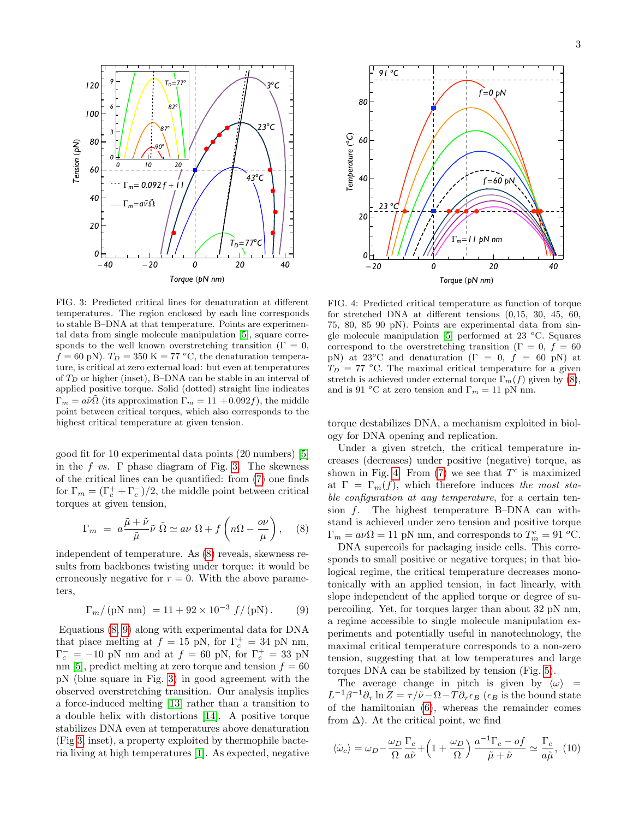

<span id="page-2-0"></span>FIG. 3: Predicted critical lines for denaturation at different temperatures. The region enclosed by each line corresponds to stable B–DNA at that temperature. Points are experimental data from single molecule manipulation [\[5\]](#page-3-4), square corresponds to the well known overstretching transition ( $\Gamma = 0$ ,  $f = 60$  pN).  $T_D = 350$  K = 77 °C, the denaturation temperature, is critical at zero external load: but even at temperatures of  $T_D$  or higher (inset), B-DNA can be stable in an interval of applied positive torque. Solid (dotted) straight line indicates  $\Gamma_m = a\tilde{\nu}\tilde{\Omega}$  (its approximation  $\Gamma_m = 11 + 0.092f$ ), the middle point between critical torques, which also corresponds to the highest critical temperature at given tension.

good fit for 10 experimental data points (20 numbers) [\[5\]](#page-3-4) in the f vs.  $\Gamma$  phase diagram of Fig. [3.](#page-2-0) The skewness of the critical lines can be quantified: from [\(7\)](#page-1-1) one finds for  $\Gamma_m = (\Gamma_c^+ + \Gamma_c^-)/2$ , the middle point between critical torques at given tension,

<span id="page-2-1"></span>
$$
\Gamma_m = a \frac{\tilde{\mu} + \tilde{\nu}}{\tilde{\mu}} \tilde{\nu} \tilde{\Omega} \simeq a\nu \Omega + f\left(n\Omega - \frac{\partial \nu}{\mu}\right), \quad (8)
$$

independent of temperature. As [\(8\)](#page-2-1) reveals, skewness results from backbones twisting under torque: it would be erroneously negative for  $r = 0$ . With the above parameters,

<span id="page-2-2"></span>
$$
\Gamma_m / (\text{pN nm}) = 11 + 92 \times 10^{-3} \, f / (\text{pN}). \tag{9}
$$

Equations [\(8,](#page-2-1) [9\)](#page-2-2) along with experimental data for DNA that place melting at  $f = 15$  pN, for  $\Gamma_c^+ = 34$  pN nm,  $\Gamma_c^- = -10$  pN nm and at  $f = 60$  pN, for  $\Gamma_c^+ = 33$  pN nm [\[5\]](#page-3-4), predict melting at zero torque and tension  $f = 60$ pN (blue square in Fig. [3\)](#page-2-0) in good agreement with the observed overstretching transition. Our analysis implies a force-induced melting [\[13\]](#page-3-12) rather than a transition to a double helix with distortions [\[14\]](#page-3-13). A positive torque stabilizes DNA even at temperatures above denaturation (Fig [3,](#page-2-0) inset), a property exploited by thermophile bacteria living at high temperatures [\[1\]](#page-3-0). As expected, negative



<span id="page-2-3"></span>FIG. 4: Predicted critical temperature as function of torque for stretched DNA at different tensions (0,15, 30, 45, 60, 75, 80, 85 90 pN). Points are experimental data from single molecule manipulation  $[5]$  performed at 23 °C. Squares correspond to the overstretching transition ( $\Gamma = 0, f = 60$ pN) at 23<sup>o</sup>C and denaturation ( $\Gamma = 0$ ,  $f = 60$  pN) at  $T_D = 77$  °C. The maximal critical temperature for a given stretch is achieved under external torque  $\Gamma_m(f)$  given by [\(8\)](#page-2-1), and is 91 <sup>o</sup>C at zero tension and  $\Gamma_m = 11$  pN nm.

torque destabilizes DNA, a mechanism exploited in biology for DNA opening and replication.

Under a given stretch, the critical temperature increases (decreases) under positive (negative) torque, as shown in Fig. [4.](#page-2-3) From  $(7)$  we see that  $T<sup>c</sup>$  is maximized at  $\Gamma = \Gamma_m(f)$ , which therefore induces the most stable configuration at any temperature, for a certain tension f. The highest temperature B–DNA can withstand is achieved under zero tension and positive torque  $\Gamma_m = a\nu \Omega = 11$  pN nm, and corresponds to  $T_m^c = 91$  °C.

DNA supercoils for packaging inside cells. This corresponds to small positive or negative torques; in that biological regime, the critical temperature decreases monotonically with an applied tension, in fact linearly, with slope independent of the applied torque or degree of supercoiling. Yet, for torques larger than about 32 pN nm, a regime accessible to single molecule manipulation experiments and potentially useful in nanotechnology, the maximal critical temperature corresponds to a non-zero tension, suggesting that at low temperatures and large torques DNA can be stabilized by tension (Fig. [5\)](#page-3-10).

The average change in pitch is given by  $\langle \omega \rangle$  =  $L^{-1}\beta^{-1}\partial_{\tau}\ln Z = \tau/\tilde{\nu} - \Omega - T\partial_{\tau}\epsilon_B$  ( $\epsilon_B$  is the bound state of the hamiltonian [\(6\)](#page-1-4), whereas the remainder comes from  $\Delta$ ). At the critical point, we find

<span id="page-2-4"></span>
$$
\langle \tilde{\omega}_c \rangle = \omega_D - \frac{\omega_D}{\Omega} \frac{\Gamma_c}{a\tilde{\nu}} + \left( 1 + \frac{\omega_D}{\Omega} \right) \frac{a^{-1} \Gamma_c - of}{\tilde{\mu} + \tilde{\nu}} \simeq \frac{\Gamma_c}{a\tilde{\mu}}, \ (10)
$$